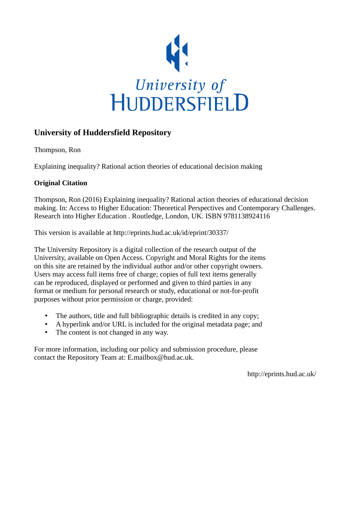

## **University of Huddersfield Repository**

Thompson, Ron

Explaining inequality? Rational action theories of educational decision making

## **Original Citation**

Thompson, Ron (2016) Explaining inequality? Rational action theories of educational decision making. In: Access to Higher Education: Theoretical Perspectives and Contemporary Challenges. Research into Higher Education . Routledge, London, UK. ISBN 9781138924116

This version is available at http://eprints.hud.ac.uk/id/eprint/30337/

The University Repository is a digital collection of the research output of the University, available on Open Access. Copyright and Moral Rights for the items on this site are retained by the individual author and/or other copyright owners. Users may access full items free of charge; copies of full text items generally can be reproduced, displayed or performed and given to third parties in any format or medium for personal research or study, educational or not-for-profit purposes without prior permission or charge, provided:

- The authors, title and full bibliographic details is credited in any copy;
- A hyperlink and/or URL is included for the original metadata page; and
- The content is not changed in any way.

For more information, including our policy and submission procedure, please contact the Repository Team at: E.mailbox@hud.ac.uk.

http://eprints.hud.ac.uk/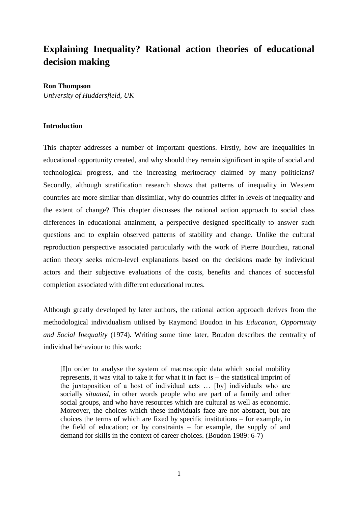# **Explaining Inequality? Rational action theories of educational decision making**

#### **Ron Thompson**

*University of Huddersfield, UK*

#### **Introduction**

This chapter addresses a number of important questions. Firstly, how are inequalities in educational opportunity created, and why should they remain significant in spite of social and technological progress, and the increasing meritocracy claimed by many politicians? Secondly, although stratification research shows that patterns of inequality in Western countries are more similar than dissimilar, why do countries differ in levels of inequality and the extent of change? This chapter discusses the rational action approach to social class differences in educational attainment, a perspective designed specifically to answer such questions and to explain observed patterns of stability and change. Unlike the cultural reproduction perspective associated particularly with the work of Pierre Bourdieu, rational action theory seeks micro-level explanations based on the decisions made by individual actors and their subjective evaluations of the costs, benefits and chances of successful completion associated with different educational routes.

Although greatly developed by later authors, the rational action approach derives from the methodological individualism utilised by Raymond Boudon in his *Education, Opportunity and Social Inequality* (1974). Writing some time later, Boudon describes the centrality of individual behaviour to this work:

[I]n order to analyse the system of macroscopic data which social mobility represents, it was vital to take it for what it in fact *is* – the statistical imprint of the juxtaposition of a host of individual acts … [by] individuals who are socially *situated*, in other words people who are part of a family and other social groups, and who have resources which are cultural as well as economic. Moreover, the choices which these individuals face are not abstract, but are choices the terms of which are fixed by specific institutions – for example, in the field of education; or by constraints – for example, the supply of and demand for skills in the context of career choices. (Boudon 1989: 6-7)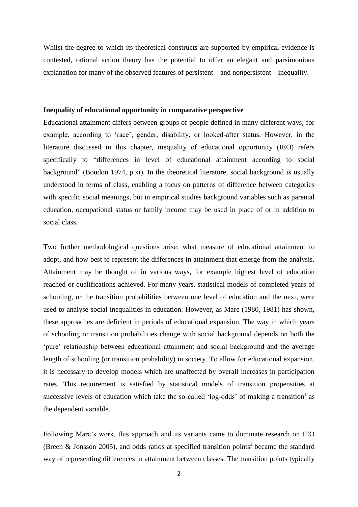Whilst the degree to which its theoretical constructs are supported by empirical evidence is contested, rational action theory has the potential to offer an elegant and parsimonious explanation for many of the observed features of persistent – and nonpersistent – inequality.

#### **Inequality of educational opportunity in comparative perspective**

Educational attainment differs between groups of people defined in many different ways; for example, according to 'race', gender, disability, or looked-after status. However, in the literature discussed in this chapter, inequality of educational opportunity (IEO) refers specifically to "differences in level of educational attainment according to social background" (Boudon 1974, p.xi). In the theoretical literature, social background is usually understood in terms of class, enabling a focus on patterns of difference between categories with specific social meanings, but in empirical studies background variables such as parental education, occupational status or family income may be used in place of or in addition to social class.

Two further methodological questions arise: what measure of educational attainment to adopt, and how best to represent the differences in attainment that emerge from the analysis. Attainment may be thought of in various ways, for example highest level of education reached or qualifications achieved. For many years, statistical models of completed years of schooling, or the transition probabilities between one level of education and the next, were used to analyse social inequalities in education. However, as Mare (1980, 1981) has shown, these approaches are deficient in periods of educational expansion. The way in which years of schooling or transition probabilities change with social background depends on both the 'pure' relationship between educational attainment and social background and the average length of schooling (or transition probability) in society. To allow for educational expansion, it is necessary to develop models which are unaffected by overall increases in participation rates. This requirement is satisfied by statistical models of transition propensities at successive levels of education which take the so-called 'log-odds' of making a transition<sup>1</sup> as the dependent variable.

Following Mare's work, this approach and its variants came to dominate research on IEO (Breen & Jonsson 2005), and odds ratios at specified transition points<sup>2</sup> became the standard way of representing differences in attainment between classes. The transition points typically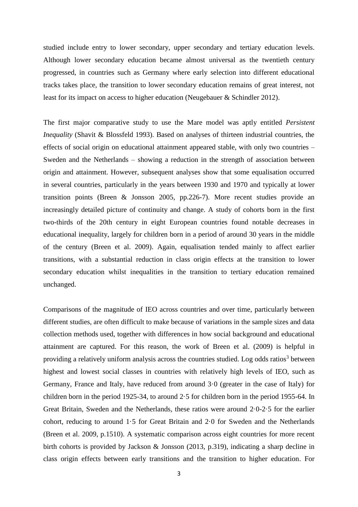studied include entry to lower secondary, upper secondary and tertiary education levels. Although lower secondary education became almost universal as the twentieth century progressed, in countries such as Germany where early selection into different educational tracks takes place, the transition to lower secondary education remains of great interest, not least for its impact on access to higher education (Neugebauer & Schindler 2012).

The first major comparative study to use the Mare model was aptly entitled *Persistent Inequality* (Shavit & Blossfeld 1993). Based on analyses of thirteen industrial countries, the effects of social origin on educational attainment appeared stable, with only two countries – Sweden and the Netherlands – showing a reduction in the strength of association between origin and attainment. However, subsequent analyses show that some equalisation occurred in several countries, particularly in the years between 1930 and 1970 and typically at lower transition points (Breen & Jonsson 2005, pp.226-7). More recent studies provide an increasingly detailed picture of continuity and change. A study of cohorts born in the first two-thirds of the 20th century in eight European countries found notable decreases in educational inequality, largely for children born in a period of around 30 years in the middle of the century (Breen et al. 2009). Again, equalisation tended mainly to affect earlier transitions, with a substantial reduction in class origin effects at the transition to lower secondary education whilst inequalities in the transition to tertiary education remained unchanged.

Comparisons of the magnitude of IEO across countries and over time, particularly between different studies, are often difficult to make because of variations in the sample sizes and data collection methods used, together with differences in how social background and educational attainment are captured. For this reason, the work of Breen et al. (2009) is helpful in providing a relatively uniform analysis across the countries studied. Log odds ratios<sup>3</sup> between highest and lowest social classes in countries with relatively high levels of IEO, such as Germany, France and Italy, have reduced from around 3·0 (greater in the case of Italy) for children born in the period 1925-34, to around 2·5 for children born in the period 1955-64. In Great Britain, Sweden and the Netherlands, these ratios were around 2·0-2·5 for the earlier cohort, reducing to around 1·5 for Great Britain and 2·0 for Sweden and the Netherlands (Breen et al. 2009, p.1510). A systematic comparison across eight countries for more recent birth cohorts is provided by Jackson & Jonsson (2013, p.319), indicating a sharp decline in class origin effects between early transitions and the transition to higher education. For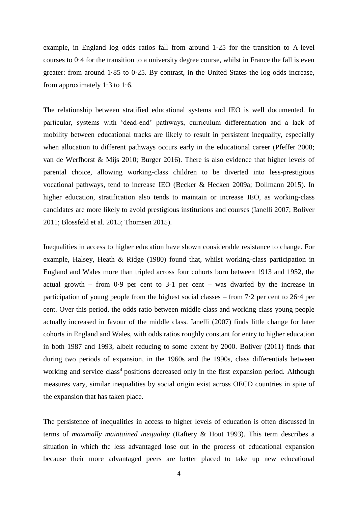example, in England log odds ratios fall from around 1·25 for the transition to A-level courses to 0·4 for the transition to a university degree course, whilst in France the fall is even greater: from around 1·85 to 0·25. By contrast, in the United States the log odds increase, from approximately  $1.3$  to  $1.6$ .

The relationship between stratified educational systems and IEO is well documented. In particular, systems with 'dead-end' pathways, curriculum differentiation and a lack of mobility between educational tracks are likely to result in persistent inequality, especially when allocation to different pathways occurs early in the educational career (Pfeffer 2008; van de Werfhorst & Mijs 2010; Burger 2016). There is also evidence that higher levels of parental choice, allowing working-class children to be diverted into less-prestigious vocational pathways, tend to increase IEO (Becker & Hecken 2009a; Dollmann 2015). In higher education, stratification also tends to maintain or increase IEO, as working-class candidates are more likely to avoid prestigious institutions and courses (Ianelli 2007; Boliver 2011; Blossfeld et al. 2015; Thomsen 2015).

Inequalities in access to higher education have shown considerable resistance to change. For example, Halsey, Heath & Ridge (1980) found that, whilst working-class participation in England and Wales more than tripled across four cohorts born between 1913 and 1952, the actual growth – from  $0.9$  per cent to  $3.1$  per cent – was dwarfed by the increase in participation of young people from the highest social classes – from  $7·2$  per cent to  $26·4$  per cent. Over this period, the odds ratio between middle class and working class young people actually increased in favour of the middle class. Ianelli (2007) finds little change for later cohorts in England and Wales, with odds ratios roughly constant for entry to higher education in both 1987 and 1993, albeit reducing to some extent by 2000. Boliver (2011) finds that during two periods of expansion, in the 1960s and the 1990s, class differentials between working and service class<sup>4</sup> positions decreased only in the first expansion period. Although measures vary, similar inequalities by social origin exist across OECD countries in spite of the expansion that has taken place.

The persistence of inequalities in access to higher levels of education is often discussed in terms of *maximally maintained inequality* (Raftery & Hout 1993). This term describes a situation in which the less advantaged lose out in the process of educational expansion because their more advantaged peers are better placed to take up new educational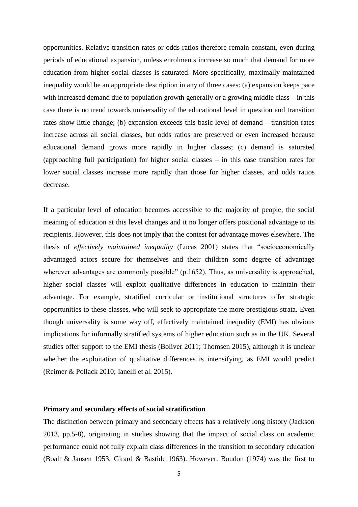opportunities. Relative transition rates or odds ratios therefore remain constant, even during periods of educational expansion, unless enrolments increase so much that demand for more education from higher social classes is saturated. More specifically, maximally maintained inequality would be an appropriate description in any of three cases: (a) expansion keeps pace with increased demand due to population growth generally or a growing middle class – in this case there is no trend towards universality of the educational level in question and transition rates show little change; (b) expansion exceeds this basic level of demand – transition rates increase across all social classes, but odds ratios are preserved or even increased because educational demand grows more rapidly in higher classes; (c) demand is saturated (approaching full participation) for higher social classes – in this case transition rates for lower social classes increase more rapidly than those for higher classes, and odds ratios decrease.

If a particular level of education becomes accessible to the majority of people, the social meaning of education at this level changes and it no longer offers positional advantage to its recipients. However, this does not imply that the contest for advantage moves elsewhere. The thesis of *effectively maintained inequality* (Lucas 2001) states that "socioeconomically advantaged actors secure for themselves and their children some degree of advantage wherever advantages are commonly possible" (p.1652). Thus, as universality is approached, higher social classes will exploit qualitative differences in education to maintain their advantage. For example, stratified curricular or institutional structures offer strategic opportunities to these classes, who will seek to appropriate the more prestigious strata. Even though universality is some way off, effectively maintained inequality (EMI) has obvious implications for informally stratified systems of higher education such as in the UK. Several studies offer support to the EMI thesis (Boliver 2011; Thomsen 2015), although it is unclear whether the exploitation of qualitative differences is intensifying, as EMI would predict (Reimer & Pollack 2010; Ianelli et al. 2015).

#### **Primary and secondary effects of social stratification**

The distinction between primary and secondary effects has a relatively long history (Jackson 2013, pp.5-8), originating in studies showing that the impact of social class on academic performance could not fully explain class differences in the transition to secondary education (Boalt & Jansen 1953; Girard & Bastide 1963). However, Boudon (1974) was the first to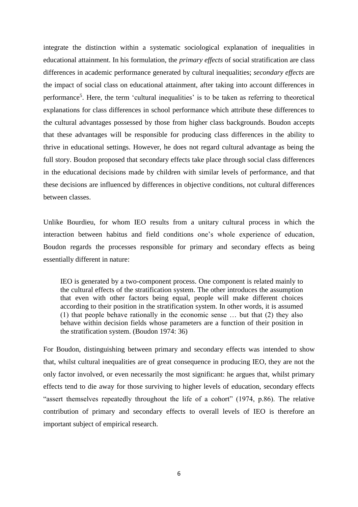integrate the distinction within a systematic sociological explanation of inequalities in educational attainment. In his formulation, the *primary effects* of social stratification are class differences in academic performance generated by cultural inequalities; *secondary effects* are the impact of social class on educational attainment, after taking into account differences in performance<sup>5</sup>. Here, the term 'cultural inequalities' is to be taken as referring to theoretical explanations for class differences in school performance which attribute these differences to the cultural advantages possessed by those from higher class backgrounds. Boudon accepts that these advantages will be responsible for producing class differences in the ability to thrive in educational settings. However, he does not regard cultural advantage as being the full story. Boudon proposed that secondary effects take place through social class differences in the educational decisions made by children with similar levels of performance, and that these decisions are influenced by differences in objective conditions, not cultural differences between classes.

Unlike Bourdieu, for whom IEO results from a unitary cultural process in which the interaction between habitus and field conditions one's whole experience of education, Boudon regards the processes responsible for primary and secondary effects as being essentially different in nature:

IEO is generated by a two-component process. One component is related mainly to the cultural effects of the stratification system. The other introduces the assumption that even with other factors being equal, people will make different choices according to their position in the stratification system. In other words, it is assumed (1) that people behave rationally in the economic sense … but that (2) they also behave within decision fields whose parameters are a function of their position in the stratification system. (Boudon 1974: 36)

For Boudon, distinguishing between primary and secondary effects was intended to show that, whilst cultural inequalities are of great consequence in producing IEO, they are not the only factor involved, or even necessarily the most significant: he argues that, whilst primary effects tend to die away for those surviving to higher levels of education, secondary effects "assert themselves repeatedly throughout the life of a cohort" (1974, p.86). The relative contribution of primary and secondary effects to overall levels of IEO is therefore an important subject of empirical research.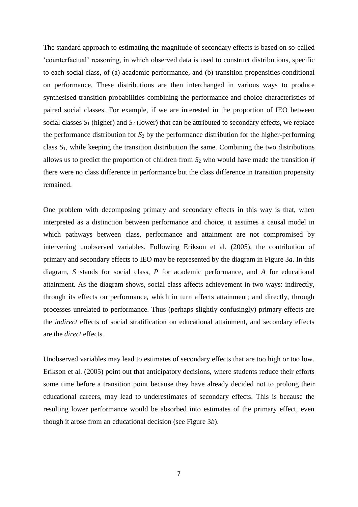The standard approach to estimating the magnitude of secondary effects is based on so-called 'counterfactual' reasoning, in which observed data is used to construct distributions, specific to each social class, of (a) academic performance, and (b) transition propensities conditional on performance. These distributions are then interchanged in various ways to produce synthesised transition probabilities combining the performance and choice characteristics of paired social classes. For example, if we are interested in the proportion of IEO between social classes *S*<sup>1</sup> (higher) and *S*<sup>2</sup> (lower) that can be attributed to secondary effects, we replace the performance distribution for *S*<sup>2</sup> by the performance distribution for the higher-performing class *S*1, while keeping the transition distribution the same. Combining the two distributions allows us to predict the proportion of children from *S*<sup>2</sup> who would have made the transition *if* there were no class difference in performance but the class difference in transition propensity remained.

One problem with decomposing primary and secondary effects in this way is that, when interpreted as a distinction between performance and choice, it assumes a causal model in which pathways between class, performance and attainment are not compromised by intervening unobserved variables. Following Erikson et al. (2005), the contribution of primary and secondary effects to IEO may be represented by the diagram in Figure 3*a*. In this diagram, *S* stands for social class, *P* for academic performance, and *A* for educational attainment. As the diagram shows, social class affects achievement in two ways: indirectly, through its effects on performance, which in turn affects attainment; and directly, through processes unrelated to performance. Thus (perhaps slightly confusingly) primary effects are the *indirect* effects of social stratification on educational attainment, and secondary effects are the *direct* effects.

Unobserved variables may lead to estimates of secondary effects that are too high or too low. Erikson et al. (2005) point out that anticipatory decisions, where students reduce their efforts some time before a transition point because they have already decided not to prolong their educational careers, may lead to underestimates of secondary effects. This is because the resulting lower performance would be absorbed into estimates of the primary effect, even though it arose from an educational decision (see Figure 3*b*).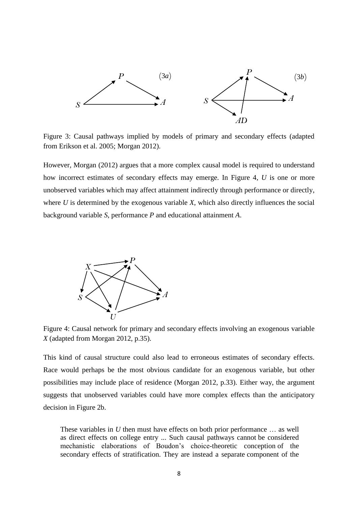

Figure 3: Causal pathways implied by models of primary and secondary effects (adapted from Erikson et al. 2005; Morgan 2012).

However, Morgan (2012) argues that a more complex causal model is required to understand how incorrect estimates of secondary effects may emerge. In Figure 4, *U* is one or more unobserved variables which may affect attainment indirectly through performance or directly, where *U* is determined by the exogenous variable *X*, which also directly influences the social background variable *S*, performance *P* and educational attainment *A*.



Figure 4: Causal network for primary and secondary effects involving an exogenous variable *X* (adapted from Morgan 2012, p.35).

This kind of causal structure could also lead to erroneous estimates of secondary effects. Race would perhaps be the most obvious candidate for an exogenous variable, but other possibilities may include place of residence (Morgan 2012, p.33). Either way, the argument suggests that unobserved variables could have more complex effects than the anticipatory decision in Figure 2b.

These variables in *U* then must have effects on both prior performance ... as well as direct effects on college entry ... Such causal pathways cannot be considered mechanistic elaborations of Boudon's choice-theoretic conception of the secondary effects of stratification. They are instead a separate component of the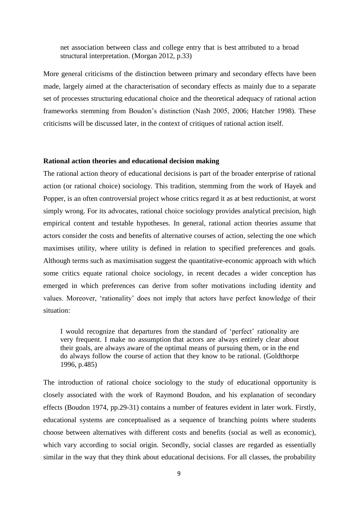net association between class and college entry that is best attributed to a broad structural interpretation. (Morgan 2012, p.33)

More general criticisms of the distinction between primary and secondary effects have been made, largely aimed at the characterisation of secondary effects as mainly due to a separate set of processes structuring educational choice and the theoretical adequacy of rational action frameworks stemming from Boudon's distinction (Nash 2005, 2006; Hatcher 1998). These criticisms will be discussed later, in the context of critiques of rational action itself.

#### **Rational action theories and educational decision making**

The rational action theory of educational decisions is part of the broader enterprise of rational action (or rational choice) sociology. This tradition, stemming from the work of Hayek and Popper, is an often controversial project whose critics regard it as at best reductionist, at worst simply wrong. For its advocates, rational choice sociology provides analytical precision, high empirical content and testable hypotheses. In general, rational action theories assume that actors consider the costs and benefits of alternative courses of action, selecting the one which maximises utility, where utility is defined in relation to specified preferences and goals. Although terms such as maximisation suggest the quantitative-economic approach with which some critics equate rational choice sociology, in recent decades a wider conception has emerged in which preferences can derive from softer motivations including identity and values. Moreover, 'rationality' does not imply that actors have perfect knowledge of their situation:

I would recognize that departures from the standard of 'perfect' rationality are very frequent. I make no assumption that actors are always entirely clear about their goals, are always aware of the optimal means of pursuing them, or in the end do always follow the course of action that they know to be rational. (Goldthorpe 1996, p.485)

The introduction of rational choice sociology to the study of educational opportunity is closely associated with the work of Raymond Boudon, and his explanation of secondary effects (Boudon 1974, pp.29-31) contains a number of features evident in later work. Firstly, educational systems are conceptualised as a sequence of branching points where students choose between alternatives with different costs and benefits (social as well as economic), which vary according to social origin. Secondly, social classes are regarded as essentially similar in the way that they think about educational decisions. For all classes, the probability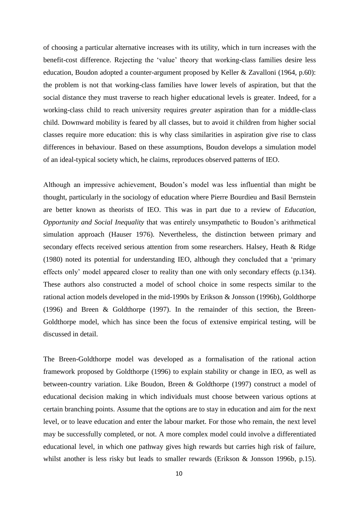of choosing a particular alternative increases with its utility, which in turn increases with the benefit-cost difference. Rejecting the 'value' theory that working-class families desire less education, Boudon adopted a counter-argument proposed by Keller & Zavalloni (1964, p.60): the problem is not that working-class families have lower levels of aspiration, but that the social distance they must traverse to reach higher educational levels is greater. Indeed, for a working-class child to reach university requires *greater* aspiration than for a middle-class child. Downward mobility is feared by all classes, but to avoid it children from higher social classes require more education: this is why class similarities in aspiration give rise to class differences in behaviour. Based on these assumptions, Boudon develops a simulation model of an ideal-typical society which, he claims, reproduces observed patterns of IEO.

Although an impressive achievement, Boudon's model was less influential than might be thought, particularly in the sociology of education where Pierre Bourdieu and Basil Bernstein are better known as theorists of IEO. This was in part due to a review of *Education, Opportunity and Social Inequality* that was entirely unsympathetic to Boudon's arithmetical simulation approach (Hauser 1976). Nevertheless, the distinction between primary and secondary effects received serious attention from some researchers. Halsey, Heath & Ridge (1980) noted its potential for understanding IEO, although they concluded that a 'primary effects only' model appeared closer to reality than one with only secondary effects (p.134). These authors also constructed a model of school choice in some respects similar to the rational action models developed in the mid-1990s by Erikson & Jonsson (1996b), Goldthorpe (1996) and Breen & Goldthorpe (1997). In the remainder of this section, the Breen-Goldthorpe model, which has since been the focus of extensive empirical testing, will be discussed in detail.

The Breen-Goldthorpe model was developed as a formalisation of the rational action framework proposed by Goldthorpe (1996) to explain stability or change in IEO, as well as between-country variation. Like Boudon, Breen & Goldthorpe (1997) construct a model of educational decision making in which individuals must choose between various options at certain branching points. Assume that the options are to stay in education and aim for the next level, or to leave education and enter the labour market. For those who remain, the next level may be successfully completed, or not. A more complex model could involve a differentiated educational level, in which one pathway gives high rewards but carries high risk of failure, whilst another is less risky but leads to smaller rewards (Erikson & Jonsson 1996b, p.15).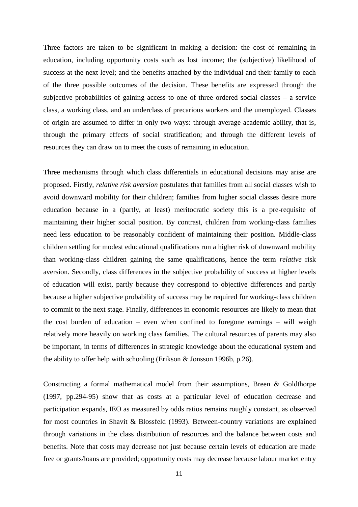Three factors are taken to be significant in making a decision: the cost of remaining in education, including opportunity costs such as lost income; the (subjective) likelihood of success at the next level; and the benefits attached by the individual and their family to each of the three possible outcomes of the decision. These benefits are expressed through the subjective probabilities of gaining access to one of three ordered social classes – a service class, a working class, and an underclass of precarious workers and the unemployed. Classes of origin are assumed to differ in only two ways: through average academic ability, that is, through the primary effects of social stratification; and through the different levels of resources they can draw on to meet the costs of remaining in education.

Three mechanisms through which class differentials in educational decisions may arise are proposed. Firstly, *relative risk aversion* postulates that families from all social classes wish to avoid downward mobility for their children; families from higher social classes desire more education because in a (partly, at least) meritocratic society this is a pre-requisite of maintaining their higher social position. By contrast, children from working-class families need less education to be reasonably confident of maintaining their position. Middle-class children settling for modest educational qualifications run a higher risk of downward mobility than working-class children gaining the same qualifications, hence the term *relative* risk aversion. Secondly, class differences in the subjective probability of success at higher levels of education will exist, partly because they correspond to objective differences and partly because a higher subjective probability of success may be required for working-class children to commit to the next stage. Finally, differences in economic resources are likely to mean that the cost burden of education – even when confined to foregone earnings – will weigh relatively more heavily on working class families. The cultural resources of parents may also be important, in terms of differences in strategic knowledge about the educational system and the ability to offer help with schooling (Erikson & Jonsson 1996b, p.26).

Constructing a formal mathematical model from their assumptions, Breen & Goldthorpe (1997, pp.294-95) show that as costs at a particular level of education decrease and participation expands, IEO as measured by odds ratios remains roughly constant, as observed for most countries in Shavit & Blossfeld (1993). Between-country variations are explained through variations in the class distribution of resources and the balance between costs and benefits. Note that costs may decrease not just because certain levels of education are made free or grants/loans are provided; opportunity costs may decrease because labour market entry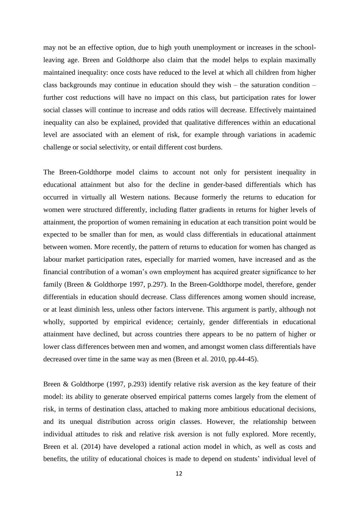may not be an effective option, due to high youth unemployment or increases in the schoolleaving age. Breen and Goldthorpe also claim that the model helps to explain maximally maintained inequality: once costs have reduced to the level at which all children from higher class backgrounds may continue in education should they wish – the saturation condition – further cost reductions will have no impact on this class, but participation rates for lower social classes will continue to increase and odds ratios will decrease. Effectively maintained inequality can also be explained, provided that qualitative differences within an educational level are associated with an element of risk, for example through variations in academic challenge or social selectivity, or entail different cost burdens.

The Breen-Goldthorpe model claims to account not only for persistent inequality in educational attainment but also for the decline in gender-based differentials which has occurred in virtually all Western nations. Because formerly the returns to education for women were structured differently, including flatter gradients in returns for higher levels of attainment, the proportion of women remaining in education at each transition point would be expected to be smaller than for men, as would class differentials in educational attainment between women. More recently, the pattern of returns to education for women has changed as labour market participation rates, especially for married women, have increased and as the financial contribution of a woman's own employment has acquired greater significance to her family (Breen & Goldthorpe 1997, p.297). In the Breen-Goldthorpe model, therefore, gender differentials in education should decrease. Class differences among women should increase, or at least diminish less, unless other factors intervene. This argument is partly, although not wholly, supported by empirical evidence; certainly, gender differentials in educational attainment have declined, but across countries there appears to be no pattern of higher or lower class differences between men and women, and amongst women class differentials have decreased over time in the same way as men (Breen et al. 2010, pp.44-45).

Breen & Goldthorpe (1997, p.293) identify relative risk aversion as the key feature of their model: its ability to generate observed empirical patterns comes largely from the element of risk, in terms of destination class, attached to making more ambitious educational decisions, and its unequal distribution across origin classes. However, the relationship between individual attitudes to risk and relative risk aversion is not fully explored. More recently, Breen et al. (2014) have developed a rational action model in which, as well as costs and benefits, the utility of educational choices is made to depend on students' individual level of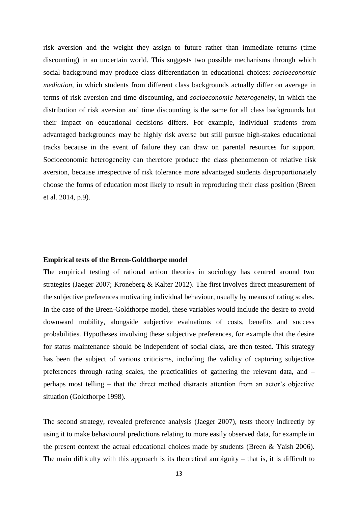risk aversion and the weight they assign to future rather than immediate returns (time discounting) in an uncertain world. This suggests two possible mechanisms through which social background may produce class differentiation in educational choices: *socioeconomic mediation*, in which students from different class backgrounds actually differ on average in terms of risk aversion and time discounting, and *socioeconomic heterogeneity*, in which the distribution of risk aversion and time discounting is the same for all class backgrounds but their impact on educational decisions differs. For example, individual students from advantaged backgrounds may be highly risk averse but still pursue high-stakes educational tracks because in the event of failure they can draw on parental resources for support. Socioeconomic heterogeneity can therefore produce the class phenomenon of relative risk aversion, because irrespective of risk tolerance more advantaged students disproportionately choose the forms of education most likely to result in reproducing their class position (Breen et al. 2014, p.9).

#### **Empirical tests of the Breen-Goldthorpe model**

The empirical testing of rational action theories in sociology has centred around two strategies (Jaeger 2007; Kroneberg & Kalter 2012). The first involves direct measurement of the subjective preferences motivating individual behaviour, usually by means of rating scales. In the case of the Breen-Goldthorpe model, these variables would include the desire to avoid downward mobility, alongside subjective evaluations of costs, benefits and success probabilities. Hypotheses involving these subjective preferences, for example that the desire for status maintenance should be independent of social class, are then tested. This strategy has been the subject of various criticisms, including the validity of capturing subjective preferences through rating scales, the practicalities of gathering the relevant data, and – perhaps most telling – that the direct method distracts attention from an actor's objective situation (Goldthorpe 1998).

The second strategy, revealed preference analysis (Jaeger 2007), tests theory indirectly by using it to make behavioural predictions relating to more easily observed data, for example in the present context the actual educational choices made by students (Breen & Yaish 2006). The main difficulty with this approach is its theoretical ambiguity – that is, it is difficult to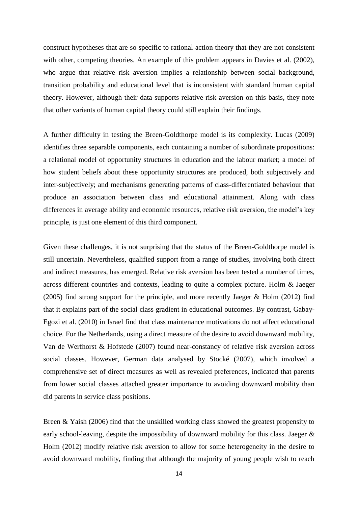construct hypotheses that are so specific to rational action theory that they are not consistent with other, competing theories. An example of this problem appears in Davies et al. (2002), who argue that relative risk aversion implies a relationship between social background, transition probability and educational level that is inconsistent with standard human capital theory. However, although their data supports relative risk aversion on this basis, they note that other variants of human capital theory could still explain their findings.

A further difficulty in testing the Breen-Goldthorpe model is its complexity. Lucas (2009) identifies three separable components, each containing a number of subordinate propositions: a relational model of opportunity structures in education and the labour market; a model of how student beliefs about these opportunity structures are produced, both subjectively and inter-subjectively; and mechanisms generating patterns of class-differentiated behaviour that produce an association between class and educational attainment. Along with class differences in average ability and economic resources, relative risk aversion, the model's key principle, is just one element of this third component.

Given these challenges, it is not surprising that the status of the Breen-Goldthorpe model is still uncertain. Nevertheless, qualified support from a range of studies, involving both direct and indirect measures, has emerged. Relative risk aversion has been tested a number of times, across different countries and contexts, leading to quite a complex picture. Holm & Jaeger (2005) find strong support for the principle, and more recently Jaeger & Holm (2012) find that it explains part of the social class gradient in educational outcomes. By contrast, Gabay-Egozi et al. (2010) in Israel find that class maintenance motivations do not affect educational choice. For the Netherlands, using a direct measure of the desire to avoid downward mobility, Van de Werfhorst & Hofstede (2007) found near-constancy of relative risk aversion across social classes. However, German data analysed by Stocké (2007), which involved a comprehensive set of direct measures as well as revealed preferences, indicated that parents from lower social classes attached greater importance to avoiding downward mobility than did parents in service class positions.

Breen & Yaish (2006) find that the unskilled working class showed the greatest propensity to early school-leaving, despite the impossibility of downward mobility for this class. Jaeger & Holm (2012) modify relative risk aversion to allow for some heterogeneity in the desire to avoid downward mobility, finding that although the majority of young people wish to reach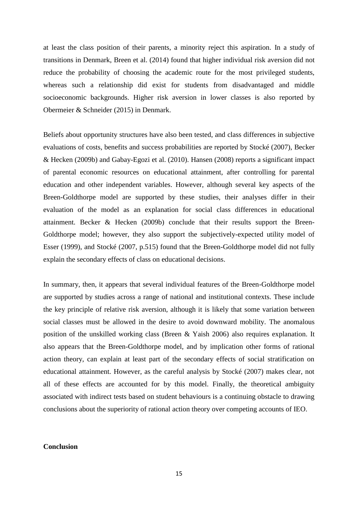at least the class position of their parents, a minority reject this aspiration. In a study of transitions in Denmark, Breen et al. (2014) found that higher individual risk aversion did not reduce the probability of choosing the academic route for the most privileged students, whereas such a relationship did exist for students from disadvantaged and middle socioeconomic backgrounds. Higher risk aversion in lower classes is also reported by Obermeier & Schneider (2015) in Denmark.

Beliefs about opportunity structures have also been tested, and class differences in subjective evaluations of costs, benefits and success probabilities are reported by Stocké (2007), Becker & Hecken (2009b) and Gabay-Egozi et al. (2010). Hansen (2008) reports a significant impact of parental economic resources on educational attainment, after controlling for parental education and other independent variables. However, although several key aspects of the Breen-Goldthorpe model are supported by these studies, their analyses differ in their evaluation of the model as an explanation for social class differences in educational attainment. Becker & Hecken (2009b) conclude that their results support the Breen-Goldthorpe model; however, they also support the subjectively-expected utility model of Esser (1999), and Stocké (2007, p.515) found that the Breen-Goldthorpe model did not fully explain the secondary effects of class on educational decisions.

In summary, then, it appears that several individual features of the Breen-Goldthorpe model are supported by studies across a range of national and institutional contexts. These include the key principle of relative risk aversion, although it is likely that some variation between social classes must be allowed in the desire to avoid downward mobility. The anomalous position of the unskilled working class (Breen & Yaish 2006) also requires explanation. It also appears that the Breen-Goldthorpe model, and by implication other forms of rational action theory, can explain at least part of the secondary effects of social stratification on educational attainment. However, as the careful analysis by Stocké (2007) makes clear, not all of these effects are accounted for by this model. Finally, the theoretical ambiguity associated with indirect tests based on student behaviours is a continuing obstacle to drawing conclusions about the superiority of rational action theory over competing accounts of IEO.

## **Conclusion**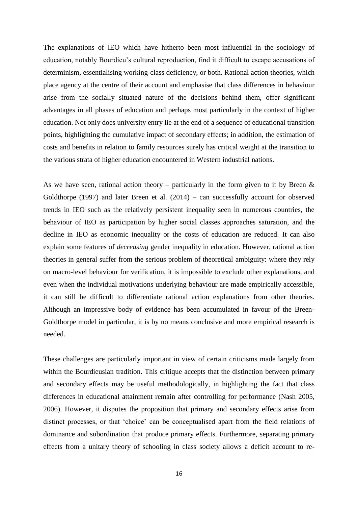The explanations of IEO which have hitherto been most influential in the sociology of education, notably Bourdieu's cultural reproduction, find it difficult to escape accusations of determinism, essentialising working-class deficiency, or both. Rational action theories, which place agency at the centre of their account and emphasise that class differences in behaviour arise from the socially situated nature of the decisions behind them, offer significant advantages in all phases of education and perhaps most particularly in the context of higher education. Not only does university entry lie at the end of a sequence of educational transition points, highlighting the cumulative impact of secondary effects; in addition, the estimation of costs and benefits in relation to family resources surely has critical weight at the transition to the various strata of higher education encountered in Western industrial nations.

As we have seen, rational action theory – particularly in the form given to it by Breen  $\&$ Goldthorpe (1997) and later Breen et al.  $(2014)$  – can successfully account for observed trends in IEO such as the relatively persistent inequality seen in numerous countries, the behaviour of IEO as participation by higher social classes approaches saturation, and the decline in IEO as economic inequality or the costs of education are reduced. It can also explain some features of *decreasing* gender inequality in education. However, rational action theories in general suffer from the serious problem of theoretical ambiguity: where they rely on macro-level behaviour for verification, it is impossible to exclude other explanations, and even when the individual motivations underlying behaviour are made empirically accessible, it can still be difficult to differentiate rational action explanations from other theories. Although an impressive body of evidence has been accumulated in favour of the Breen-Goldthorpe model in particular, it is by no means conclusive and more empirical research is needed.

These challenges are particularly important in view of certain criticisms made largely from within the Bourdieusian tradition. This critique accepts that the distinction between primary and secondary effects may be useful methodologically, in highlighting the fact that class differences in educational attainment remain after controlling for performance (Nash 2005, 2006). However, it disputes the proposition that primary and secondary effects arise from distinct processes, or that 'choice' can be conceptualised apart from the field relations of dominance and subordination that produce primary effects. Furthermore, separating primary effects from a unitary theory of schooling in class society allows a deficit account to re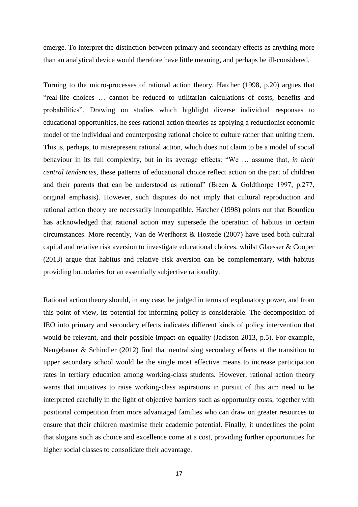emerge. To interpret the distinction between primary and secondary effects as anything more than an analytical device would therefore have little meaning, and perhaps be ill-considered.

Turning to the micro-processes of rational action theory, Hatcher (1998, p.20) argues that "real-life choices … cannot be reduced to utilitarian calculations of costs, benefits and probabilities". Drawing on studies which highlight diverse individual responses to educational opportunities, he sees rational action theories as applying a reductionist economic model of the individual and counterposing rational choice to culture rather than uniting them. This is, perhaps, to misrepresent rational action, which does not claim to be a model of social behaviour in its full complexity, but in its average effects: "We … assume that, *in their central tendencies*, these patterns of educational choice reflect action on the part of children and their parents that can be understood as rational" (Breen & Goldthorpe 1997, p.277, original emphasis). However, such disputes do not imply that cultural reproduction and rational action theory are necessarily incompatible. Hatcher (1998) points out that Bourdieu has acknowledged that rational action may supersede the operation of habitus in certain circumstances. More recently, Van de Werfhorst & Hostede (2007) have used both cultural capital and relative risk aversion to investigate educational choices, whilst Glaesser & Cooper (2013) argue that habitus and relative risk aversion can be complementary, with habitus providing boundaries for an essentially subjective rationality.

Rational action theory should, in any case, be judged in terms of explanatory power, and from this point of view, its potential for informing policy is considerable. The decomposition of IEO into primary and secondary effects indicates different kinds of policy intervention that would be relevant, and their possible impact on equality (Jackson 2013, p.5). For example, Neugebauer & Schindler (2012) find that neutralising secondary effects at the transition to upper secondary school would be the single most effective means to increase participation rates in tertiary education among working-class students. However, rational action theory warns that initiatives to raise working-class aspirations in pursuit of this aim need to be interpreted carefully in the light of objective barriers such as opportunity costs, together with positional competition from more advantaged families who can draw on greater resources to ensure that their children maximise their academic potential. Finally, it underlines the point that slogans such as choice and excellence come at a cost, providing further opportunities for higher social classes to consolidate their advantage.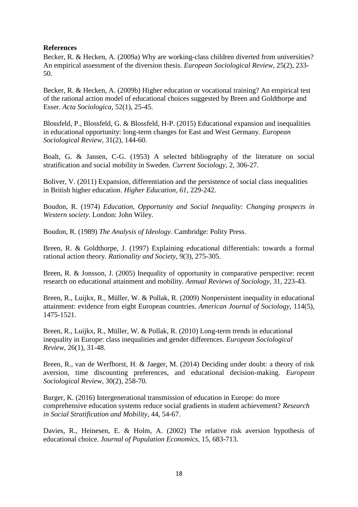## **References**

Becker, R. & Hecken, A. (2009a) Why are working-class children diverted from universities? An empirical assessment of the diversion thesis. *European Sociological Review*, 25(2), 233- 50.

Becker, R. & Hecken, A. (2009b) Higher education or vocational training? An empirical test of the rational action model of educational choices suggested by Breen and Goldthorpe and Esser. *Acta Sociologica*, 52(1), 25-45.

Blossfeld, P., Blossfeld, G. & Blossfeld, H-P. (2015) Educational expansion and inequalities in educational opportunity: long-term changes for East and West Germany. *European Sociological Review*, 31(2), 144-60.

Boalt, G. & Jansen, C-G. (1953) A selected bibliography of the literature on social stratification and social mobility in Sweden. *Current Sociology*, 2, 306-27.

Boliver, V. (2011) Expansion, differentiation and the persistence of social class inequalities in British higher education. *Higher Education, 61*, 229-242.

Boudon, R. (1974) *Education, Opportunity and Social Inequality: Changing prospects in Western society*. London: John Wiley.

Boudon, R. (1989) *The Analysis of Ideology*. Cambridge: Polity Press.

Breen, R. & Goldthorpe, J. (1997) Explaining educational differentials: towards a formal rational action theory. *Rationality and Society*, 9(3), 275-305.

Breen, R. & Jonsson, J. (2005) Inequality of opportunity in comparative perspective: recent research on educational attainment and mobility. *Annual Reviews of Sociology*, 31, 223-43.

Breen, R., Luijkx, R., Müller, W. & Pollak, R. (2009) Nonpersistent inequality in educational attainment: evidence from eight European countries. *American Journal of Sociology*, 114(5), 1475-1521.

Breen, R., Luijkx, R., Müller, W. & Pollak, R. (2010) Long-term trends in educational inequality in Europe: class inequalities and gender differences. *European Sociological Review*, 26(1), 31-48.

Breen, R., van de Werfhorst, H. & Jaeger, M. (2014) Deciding under doubt: a theory of risk aversion, time discounting preferences, and educational decision-making. *European Sociological Review*, 30(2), 258-70.

Burger, K. (2016) Intergenerational transmission of education in Europe: do more comprehensive education systems reduce social gradients in student achievement? *Research in Social Stratification and Mobility*, 44, 54-67.

Davies, R., Heinesen, E. & Holm, A. (2002) The relative risk aversion hypothesis of educational choice. *Journal of Population Economics*, 15, 683-713.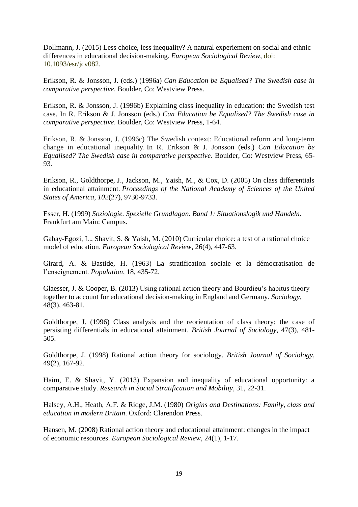Dollmann, J. (2015) Less choice, less inequality? A natural experiement on social and ethnic differences in educational decision-making. *European Sociological Review*, doi: 10.1093/esr/jcv082.

Erikson, R. & Jonsson, J. (eds.) (1996a) *Can Education be Equalised? The Swedish case in comparative perspective*. Boulder, Co: Westview Press.

Erikson, R. & Jonsson, J. (1996b) Explaining class inequality in education: the Swedish test case. In R. Erikson & J. Jonsson (eds.) *Can Education be Equalised? The Swedish case in comparative perspective*. Boulder, Co: Westview Press, 1-64.

Erikson, R. & Jonsson, J. (1996c) The Swedish context: Educational reform and long-term change in educational inequality. In R. Erikson & J. Jonsson (eds.) *Can Education be Equalised? The Swedish case in comparative perspective*. Boulder, Co: Westview Press, 65- 93.

Erikson, R., Goldthorpe, J., Jackson, M., Yaish, M., & Cox, D. (2005) On class differentials in educational attainment. *Proceedings of the National Academy of Sciences of the United States of America*, *102*(27), 9730-9733.

Esser, H. (1999) *Soziologie. Spezielle Grundlagan. Band 1: Situationslogik und Handeln*. Frankfurt am Main: Campus.

Gabay-Egozi, L., Shavit, S. & Yaish, M. (2010) Curricular choice: a test of a rational choice model of education. *European Sociological Review*, 26(4), 447-63.

Girard, A. & Bastide, H. (1963) La stratification sociale et la démocratisation de l'enseignement. *Population*, 18, 435-72.

Glaesser, J. & Cooper, B. (2013) Using rational action theory and Bourdieu's habitus theory together to account for educational decision-making in England and Germany. *Sociology*, 48(3), 463-81.

Goldthorpe, J. (1996) Class analysis and the reorientation of class theory: the case of persisting differentials in educational attainment. *British Journal of Sociology*, 47(3), 481- 505.

Goldthorpe, J. (1998) Rational action theory for sociology. *British Journal of Sociology*, 49(2), 167-92.

Haim, E. & Shavit, Y. (2013) Expansion and inequality of educational opportunity: a comparative study. *Research in Social Stratification and Mobility*, 31, 22-31.

Halsey, A.H., Heath, A.F. & Ridge, J.M. (1980) *Origins and Destinations: Family, class and education in modern Britain*. Oxford: Clarendon Press.

Hansen, M. (2008) Rational action theory and educational attainment: changes in the impact of economic resources. *European Sociological Review*, 24(1), 1-17.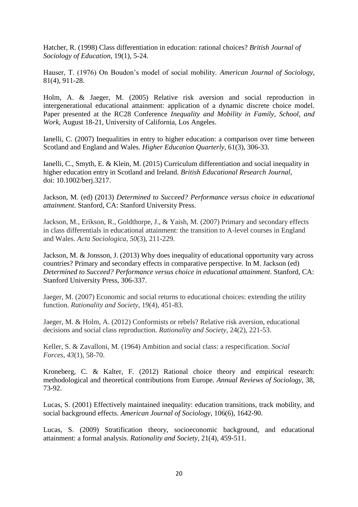Hatcher, R. (1998) Class differentiation in education: rational choices? *British Journal of Sociology of Education*, 19(1), 5-24.

Hauser, T. (1976) On Boudon's model of social mobility. *American Journal of Sociology*, 81(4), 911-28.

Holm, A. & Jaeger, M. (2005) Relative risk aversion and social reproduction in intergenerational educational attainment: application of a dynamic discrete choice model. Paper presented at the RC28 Conference *Inequality and Mobility in Family, School, and Work*, August 18-21, University of California, Los Angeles.

Ianelli, C. (2007) Inequalities in entry to higher education: a comparison over time between Scotland and England and Wales. *Higher Education Quarterly*, 61(3), 306-33.

Ianelli, C., Smyth, E. & Klein, M. (2015) Curriculum differentiation and social inequality in higher education entry in Scotland and Ireland. *British Educational Research Journal*, doi: 10.1002/berj.3217.

Jackson, M. (ed) (2013) *Determined to Succeed? Performance versus choice in educational attainment*. Stanford, CA: Stanford University Press.

Jackson, M., Erikson, R., Goldthorpe, J., & Yaish, M. (2007) Primary and secondary effects in class differentials in educational attainment: the transition to A-level courses in England and Wales. *Acta Sociologica*, *50*(3), 211-229.

Jackson, M. & Jonsson, J. (2013) Why does inequality of educational opportunity vary across countries? Primary and secondary effects in comparative perspective. In M. Jackson (ed) *Determined to Succeed? Performance versus choice in educational attainment*. Stanford, CA: Stanford University Press, 306-337.

Jaeger, M. (2007) Economic and social returns to educational choices: extending the utility function. *Rationality and Society*, 19(4), 451-83.

Jaeger, M. & Holm, A. (2012) Conformists or rebels? Relative risk aversion, educational decisions and social class reproduction. *Rationality and Society*, 24(2), 221-53.

Keller, S. & Zavalloni, M. (1964) Ambition and social class: a respecification. *Social Forces*, *43*(1), 58-70.

Kroneberg, C. & Kalter, F. (2012) Rational choice theory and empirical research: methodological and theoretical contributions from Europe. *Annual Reviews of Sociology*, 38, 73-92.

Lucas, S. (2001) Effectively maintained inequality: education transitions, track mobility, and social background effects. *American Journal of Sociology*, 106(6), 1642-90.

Lucas, S. (2009) Stratification theory, socioeconomic background, and educational attainment: a formal analysis. *Rationality and Society*, 21(4), 459-511.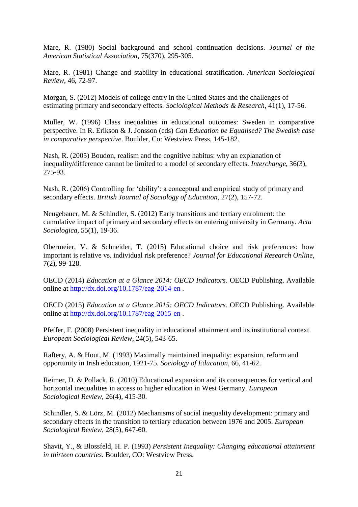Mare, R. (1980) Social background and school continuation decisions. *Journal of the American Statistical Association*, 75(370), 295-305.

Mare, R. (1981) Change and stability in educational stratification. *American Sociological Review*, 46, 72-97.

Morgan, S. (2012) Models of college entry in the United States and the challenges of estimating primary and secondary effects. *Sociological Methods & Research*, 41(1), 17-56.

Müller, W. (1996) Class inequalities in educational outcomes: Sweden in comparative perspective. In R. Erikson & J. Jonsson (eds) *Can Education be Equalised? The Swedish case in comparative perspective*. Boulder, Co: Westview Press, 145-182.

Nash, R. (2005) Boudon, realism and the cognitive habitus: why an explanation of inequality/difference cannot be limited to a model of secondary effects. *Interchange*, 36(3), 275-93.

Nash, R. (2006) Controlling for 'ability': a conceptual and empirical study of primary and secondary effects. *British Journal of Sociology of Education*, 27(2), 157-72.

Neugebauer, M. & Schindler, S. (2012) Early transitions and tertiary enrolment: the cumulative impact of primary and secondary effects on entering university in Germany. *Acta Sociologica*, 55(1), 19-36.

Obermeier, V. & Schneider, T. (2015) Educational choice and risk preferences: how important is relative vs. individual risk preference? *Journal for Educational Research Online*, 7(2), 99-128.

OECD (2014) *Education at a Glance 2014: OECD Indicators*. OECD Publishing. Available online at<http://dx.doi.org/10.1787/eag-2014-en> .

OECD (2015) *Education at a Glance 2015: OECD Indicators*. OECD Publishing. Available online at<http://dx.doi.org/10.1787/eag-2015-en> .

Pfeffer, F. (2008) Persistent inequality in educational attainment and its institutional context. *European Sociological Review*, 24(5), 543-65.

Raftery, A. & Hout, M. (1993) Maximally maintained inequality: expansion, reform and opportunity in Irish education, 1921-75. *Sociology of Education*, 66, 41-62.

Reimer, D. & Pollack, R. (2010) Educational expansion and its consequences for vertical and horizontal inequalities in access to higher education in West Germany. *European Sociological Review*, 26(4), 415-30.

Schindler, S. & Lörz, M. (2012) Mechanisms of social inequality development: primary and secondary effects in the transition to tertiary education between 1976 and 2005. *European Sociological Review*, 28(5), 647-60.

Shavit, Y., & Blossfeld, H. P. (1993) *Persistent Inequality: Changing educational attainment in thirteen countries.* Boulder, CO: Westview Press.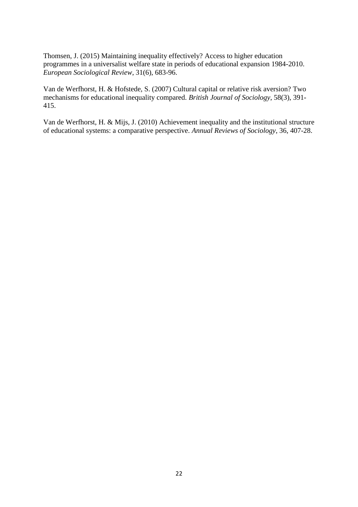Thomsen, J. (2015) Maintaining inequality effectively? Access to higher education programmes in a universalist welfare state in periods of educational expansion 1984-2010. *European Sociological Review*, 31(6), 683-96.

Van de Werfhorst, H. & Hofstede, S. (2007) Cultural capital or relative risk aversion? Two mechanisms for educational inequality compared. *British Journal of Sociology*, 58(3), 391- 415.

Van de Werfhorst, H. & Mijs, J. (2010) Achievement inequality and the institutional structure of educational systems: a comparative perspective. *Annual Reviews of Sociology*, 36, 407-28.